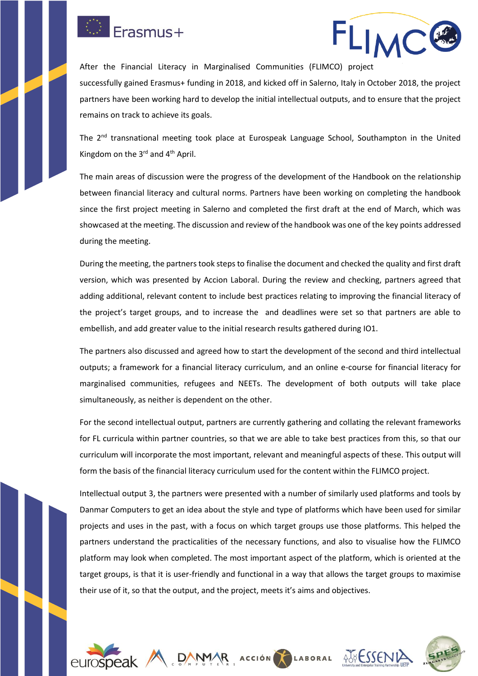



After the Financial Literacy in Marginalised Communities (FLIMCO) project successfully gained Erasmus+ funding in 2018, and kicked off in Salerno, Italy in October 2018, the project partners have been working hard to develop the initial intellectual outputs, and to ensure that the project remains on track to achieve its goals.

The 2<sup>nd</sup> transnational meeting took place at Eurospeak Language School, Southampton in the United Kingdom on the 3rd and 4th April.

The main areas of discussion were the progress of the development of the Handbook on the relationship between financial literacy and cultural norms. Partners have been working on completing the handbook since the first project meeting in Salerno and completed the first draft at the end of March, which was showcased at the meeting. The discussion and review of the handbook was one of the key points addressed during the meeting.

During the meeting, the partners took steps to finalise the document and checked the quality and first draft version, which was presented by Accion Laboral. During the review and checking, partners agreed that adding additional, relevant content to include best practices relating to improving the financial literacy of the project's target groups, and to increase the and deadlines were set so that partners are able to embellish, and add greater value to the initial research results gathered during IO1.

The partners also discussed and agreed how to start the development of the second and third intellectual outputs; a framework for a financial literacy curriculum, and an online e-course for financial literacy for marginalised communities, refugees and NEETs. The development of both outputs will take place simultaneously, as neither is dependent on the other.

For the second intellectual output, partners are currently gathering and collating the relevant frameworks for FL curricula within partner countries, so that we are able to take best practices from this, so that our curriculum will incorporate the most important, relevant and meaningful aspects of these. This output will form the basis of the financial literacy curriculum used for the content within the FLIMCO project.

Intellectual output 3, the partners were presented with a number of similarly used platforms and tools by Danmar Computers to get an idea about the style and type of platforms which have been used for similar projects and uses in the past, with a focus on which target groups use those platforms. This helped the partners understand the practicalities of the necessary functions, and also to visualise how the FLIMCO platform may look when completed. The most important aspect of the platform, which is oriented at the target groups, is that it is user-friendly and functional in a way that allows the target groups to maximise their use of it, so that the output, and the project, meets it's aims and objectives.